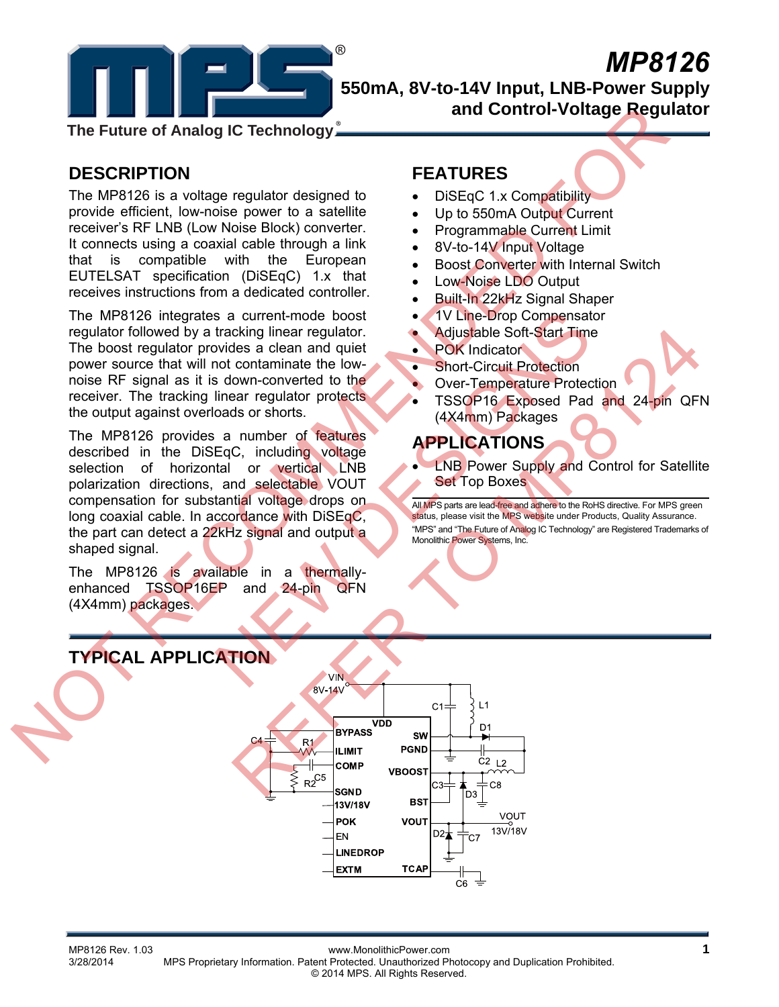

# *MP8126* **550mA, 8V-to-14V Input, LNB-Power Supply and Control-Voltage Regulator**

**The Future of Analog IC Technology**

# **DESCRIPTION**

The MP8126 is a voltage regulator designed to provide efficient, low-noise power to a satellite receiver's RF LNB (Low Noise Block) converter. It connects using a coaxial cable through a link that is compatible with the European EUTELSAT specification (DiSEqC) 1.x that receives instructions from a dedicated controller.

The MP8126 integrates a current-mode boost regulator followed by a tracking linear regulator. The boost regulator provides a clean and quiet power source that will not contaminate the lownoise RF signal as it is down-converted to the receiver. The tracking linear regulator protects the output against overloads or shorts.

The MP8126 provides a number of features described in the DiSEqC, including voltage selection of horizontal or vertical LNB polarization directions, and selectable VOUT compensation for substantial voltage drops on long coaxial cable. In accordance with DiSEqC, the part can detect a 22kHz signal and output a shaped signal. The Future of Analog IC Technology<br>
DESCRIPTION<br>
The MP3126 is a voltage regulator designed to<br>
provide effects. It is not also the state of the state is the state of the state of the state of the state of the state of the Eqc. including to the actual of the state of the Message of the Message and quiet the State of the State of the State of the State of the Cover Temperature Protection<br>
State of the State of the State of the State of the Me

The MP8126 is available in a thermallyenhanced TSSOP16EP and 24-pin QFN (4X4mm) packages.

# **FEATURES**

- DiSEqC 1.x Compatibility
- Up to 550mA Output Current
- Programmable Current Limit
- 8V-to-14V Input Voltage
- Boost Converter with Internal Switch
- Low-Noise LDO Output
- Built-In 22kHz Signal Shaper
- 1V Line-Drop Compensator
- Adjustable Soft-Start Time
- POK Indicator
- **Short-Circuit Protection**
- Over-Temperature Protection
- TSSOP16 Exposed Pad and 24-pin QFN (4X4mm) Packages

# **APPLICATIONS**

**LNB Power Supply and Control for Satellite** Set Top Boxes

All MPS parts are lead-free and adhere to the RoHS directive. For MPS green status, please visit the MPS website under Products, Quality Assurance. "MPS" and "The Future of Analog IC Technology" are Registered Trademarks of Monolithic Power Systems, Inc.

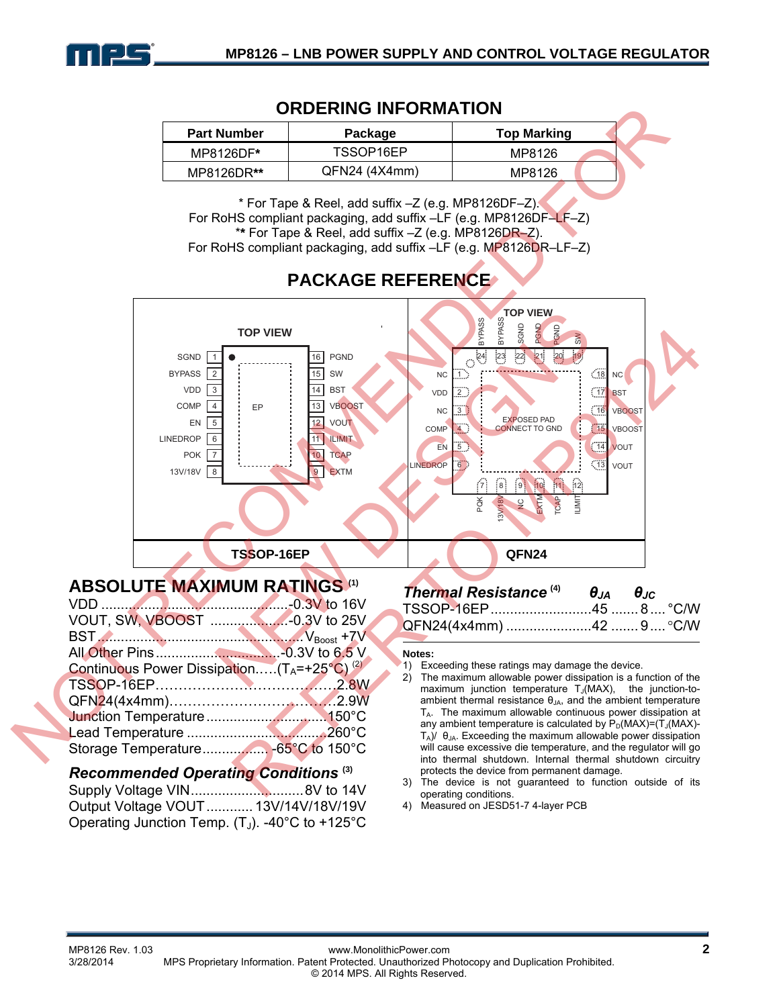

### **ORDERING INFORMATION**

| <b>Part Number</b> | Package       | <b>Top Marking</b> |  |
|--------------------|---------------|--------------------|--|
| MP8126DF*          | TSSOP16EP     | MP8126             |  |
| MP8126DR**         | QFN24 (4X4mm) | MP8126             |  |

\* For Tape & Reel, add suffix –Z (e.g. MP8126DF–Z). For RoHS compliant packaging, add suffix –LF (e.g. MP8126DF–LF–Z) \***\*** For Tape & Reel, add suffix –Z (e.g. MP8126DR–Z). For RoHS compliant packaging, add suffix –LF (e.g. MP8126DR–LF–Z)

# **PACKAGE REFERENCE**



| QFN24(4x4mm) 42  9  °C/W |  |
|--------------------------|--|
|--------------------------|--|

#### **Notes:**

- 1) Exceeding these ratings may damage the device.
- 2) The maximum allowable power dissipation is a function of the maximum junction temperature  $T_J(MAX)$ , the junction-toambient thermal resistance  $\theta_{JA}$ , and the ambient temperature  $T_A$ . The maximum allowable continuous power dissipation at any ambient temperature is calculated by  $P_D(MAX)=(T_J(MAX)-T_J(MAX)-T_J(MAX)-T_J(MAX)-T_J(MAX)$  $T_A$ )/  $\theta_{JA}$ . Exceeding the maximum allowable power dissipation will cause excessive die temperature, and the regulator will go into thermal shutdown. Internal thermal shutdown circuitry protects the device from permanent damage.
- 3) The device is not guaranteed to function outside of its operating conditions.
- 4) Measured on JESD51-7 4-layer PCB

| Recommended Operating Conditions                   |  |
|----------------------------------------------------|--|
|                                                    |  |
| Output Voltage VOUT  13V/14V/18V/19V               |  |
| Operating Junction Temp. $(T_J)$ . -40°C to +125°C |  |

BST.....................................................VBoost +7V All Other Pins................................-0.3V to 6.5 V Continuous Power Dissipation..... $(T_A=+25^{\circ}C)^{(2)}$ TSSOP-16EP…………………………………2.8W QFN24(4x4mm)………………………………2.9W Junction Temperature...............................150°C Lead Temperature ....................................260°C Storage Temperature................. -65°C to 150°C *Recommended Operating Conditions* **(3)**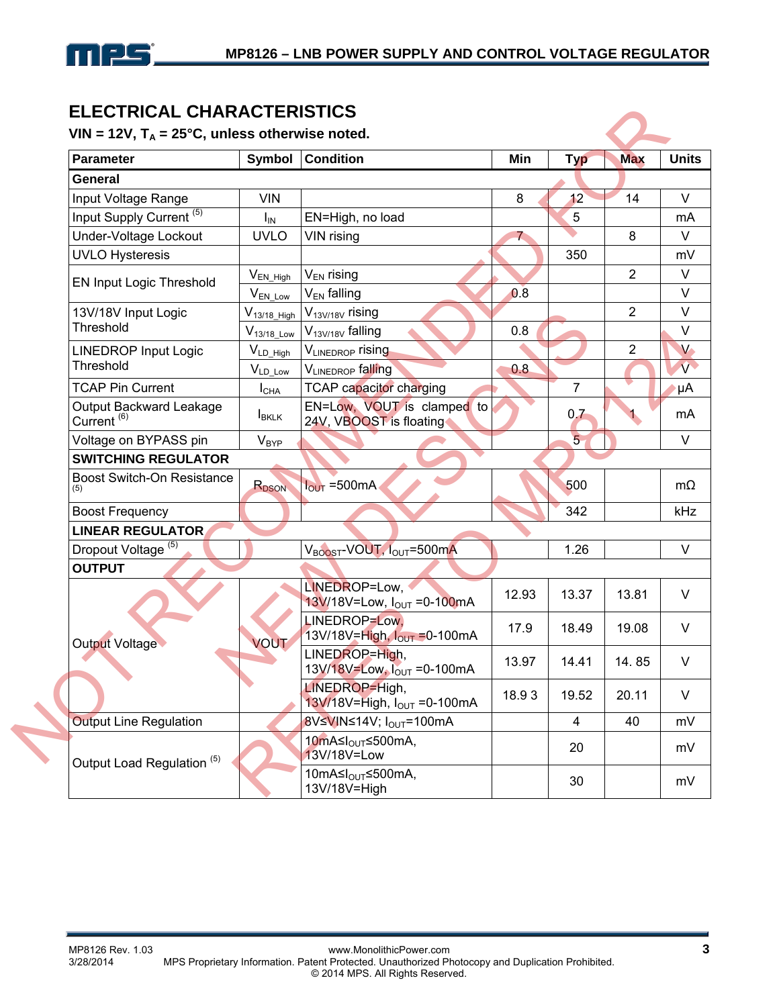

## **ELECTRICAL CHARACTERISTICS**

| <b>Parameter</b>                         | Symbol            | <b>Condition</b>                                         | Min          | <b>Typ</b>     | <b>Max</b>     | <b>Units</b>  |
|------------------------------------------|-------------------|----------------------------------------------------------|--------------|----------------|----------------|---------------|
| <b>General</b>                           |                   |                                                          |              |                |                |               |
| Input Voltage Range                      | <b>VIN</b>        |                                                          | 8            | 12             | 14             | $\vee$        |
| Input Supply Current <sup>(5)</sup>      | $I_{IN}$          | EN=High, no load                                         |              | 5              |                | mA            |
| Under-Voltage Lockout                    | <b>UVLO</b>       | VIN rising                                               | $\mathbf{z}$ |                | 8              | $\vee$        |
| <b>UVLO Hysteresis</b>                   |                   |                                                          |              | 350            |                | mV            |
|                                          | $V_{EN\_{High}}$  | $V_{EN}$ rising                                          |              |                | $\overline{2}$ | V             |
| EN Input Logic Threshold                 | $V_{EN\_Low}$     | V <sub>EN</sub> falling                                  | 0.8          |                |                | $\vee$        |
| 13V/18V Input Logic                      | $V_{13/18}$ _High | V <sub>13V/18V</sub> rising                              |              |                | $\overline{2}$ | $\vee$        |
| Threshold                                | $V_{13/18\_Low}$  | V <sub>13V/18V</sub> falling                             | 0.8          |                |                | $\vee$        |
| <b>LINEDROP Input Logic</b>              | $V_{LD_High}$     | VLINEDROP rising                                         |              |                | $\overline{2}$ | $V_{\bullet}$ |
| Threshold                                | $V_{LD\_Low}$     | VLINEDROP falling                                        | 0.8          |                |                | $\mathbf{v}$  |
| <b>TCAP Pin Current</b>                  | $I_{CHA}$         | <b>TCAP capacitor charging</b>                           |              | 7              |                | μA            |
| Output Backward Leakage<br>Current $(6)$ | <b>IBKLK</b>      | EN=Low, VOUT is clamped to<br>24V, VBOOST is floating    |              | 0.7            |                | mA            |
| Voltage on BYPASS pin                    | $V_{\text{BYP}}$  |                                                          |              | $\overline{5}$ |                | $\vee$        |
| <b>SWITCHING REGULATOR</b>               |                   |                                                          |              |                |                |               |
| <b>Boost Switch-On Resistance</b><br>(5) | R <sub>DSON</sub> | $I_{\text{OUT}}$ =500mA                                  |              | 500            |                | $m\Omega$     |
| <b>Boost Frequency</b>                   |                   |                                                          |              | 342            |                | kHz           |
| <b>LINEAR REGULATOR</b>                  |                   |                                                          |              |                |                |               |
| Dropout Voltage <sup>(5)</sup>           |                   | V <sub>BOOST</sub> -VOUT, I <sub>OUT</sub> =500mA        |              | 1.26           |                | V             |
| <b>OUTPUT</b>                            |                   |                                                          |              |                |                |               |
|                                          |                   | LINEDROP=Low,<br>13V/18V=Low, I <sub>OUT</sub> =0-100mA  | 12.93        | 13.37          | 13.81          | $\vee$        |
| <b>Output Voltage</b>                    | VOUT              | LINEDROP=Low.<br>13V/18V=High, $I_{\text{OUT}}$ =0-100mA | 17.9         | 18.49          | 19.08          | V             |
|                                          |                   | LINEDROP=High,<br>$13V/18V = Low$ , $I_{OUT} = 0.100mA$  | 13.97        | 14.41          | 14.85          | $\vee$        |
|                                          | o.                | LINEDROP=High,<br>13V/18V=High, $I_{OUT} = 0-100mA$      | 18.93        | 19.52          | 20.11          | $\vee$        |
| <b>Output Line Regulation</b>            |                   | 8V≤VIN≤14V; I <sub>OUT</sub> =100mA                      |              | $\overline{4}$ | 40             | mV            |
| Output Load Regulation <sup>(5)</sup>    |                   | 10mA≤I <sub>OUT</sub> ≤500mA,<br>13V/18V=Low             |              | 20             |                | mV            |
|                                          |                   | 10mA≤I <sub>OUT</sub> ≤500mA,<br>13V/18V=High            |              | 30             |                | mV            |
|                                          |                   |                                                          |              |                |                |               |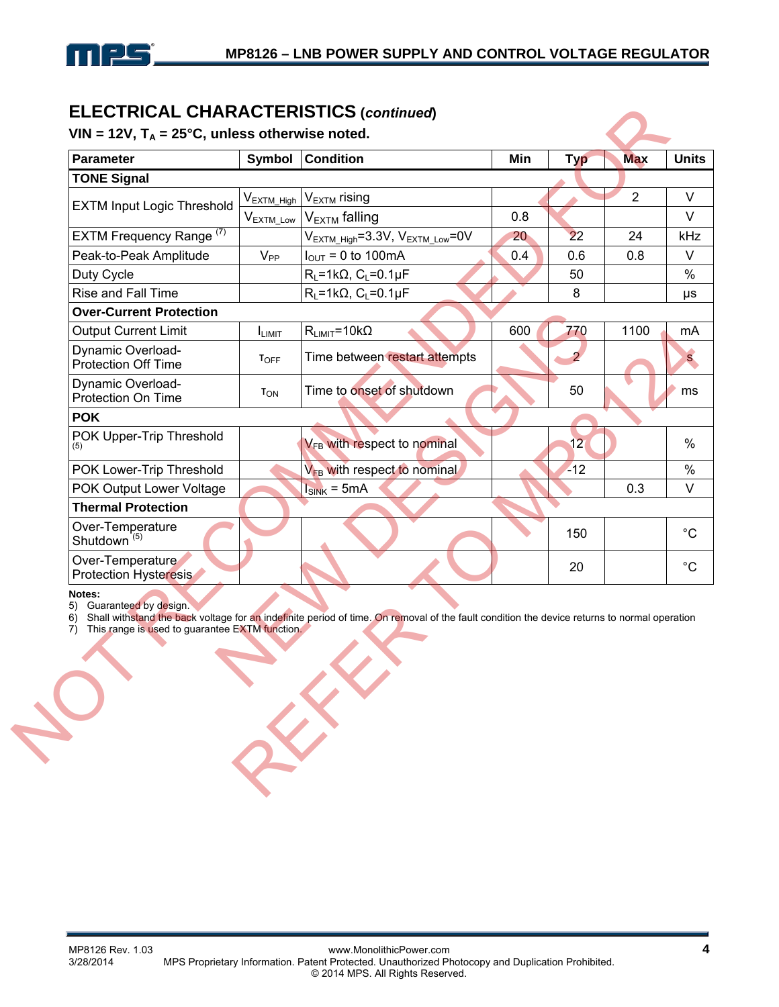

### **ELECTRICAL CHARACTERISTICS (***continued***)**

| <b>TONE Signal</b><br>$\overline{2}$<br>V <sub>EXTM</sub> rising<br>V <sub>EXTM_High</sub><br><b>EXTM Input Logic Threshold</b><br>V <sub>EXTM</sub> falling<br>0.8<br>$V_{EXTM\_Low}$<br>EXTM Frequency Range <sup>(7)</sup><br>$V_{\text{EXTM\_High}} = 3.3V, V_{\text{EXTM\_Low}} = 0V$<br>22<br>20<br>24<br>$V_{PP}$<br>Peak-to-Peak Amplitude<br>$I_{\text{OUT}} = 0$ to 100mA<br>0.4<br>0.6<br>0.8<br>$R_L = 1k\Omega$ , $C_L = 0.1\mu F$<br>Duty Cycle<br>50<br>$R_L = 1k\Omega$ , $C_L = 0.1\mu F$<br>Rise and Fall Time<br>8<br><b>Over-Current Protection</b><br><b>Output Current Limit</b><br>$R_{LIMIT} = 10k\Omega$<br>600<br>770<br>1100<br>I <sub>LIMIT</sub><br>Dynamic Overload-<br>Time between restart attempts<br><b>TOFF</b><br>Protection Off Time<br>Dynamic Overload-<br>Time to onset of shutdown<br>50<br>T <sub>ON</sub><br>Protection On Time<br><b>POK</b><br>POK Upper-Trip Threshold<br>V <sub>FB</sub> with respect to nominal<br>12 |
|-----------------------------------------------------------------------------------------------------------------------------------------------------------------------------------------------------------------------------------------------------------------------------------------------------------------------------------------------------------------------------------------------------------------------------------------------------------------------------------------------------------------------------------------------------------------------------------------------------------------------------------------------------------------------------------------------------------------------------------------------------------------------------------------------------------------------------------------------------------------------------------------------------------------------------------------------------------------------|
|                                                                                                                                                                                                                                                                                                                                                                                                                                                                                                                                                                                                                                                                                                                                                                                                                                                                                                                                                                       |
|                                                                                                                                                                                                                                                                                                                                                                                                                                                                                                                                                                                                                                                                                                                                                                                                                                                                                                                                                                       |
|                                                                                                                                                                                                                                                                                                                                                                                                                                                                                                                                                                                                                                                                                                                                                                                                                                                                                                                                                                       |
|                                                                                                                                                                                                                                                                                                                                                                                                                                                                                                                                                                                                                                                                                                                                                                                                                                                                                                                                                                       |
|                                                                                                                                                                                                                                                                                                                                                                                                                                                                                                                                                                                                                                                                                                                                                                                                                                                                                                                                                                       |
|                                                                                                                                                                                                                                                                                                                                                                                                                                                                                                                                                                                                                                                                                                                                                                                                                                                                                                                                                                       |
|                                                                                                                                                                                                                                                                                                                                                                                                                                                                                                                                                                                                                                                                                                                                                                                                                                                                                                                                                                       |
|                                                                                                                                                                                                                                                                                                                                                                                                                                                                                                                                                                                                                                                                                                                                                                                                                                                                                                                                                                       |
|                                                                                                                                                                                                                                                                                                                                                                                                                                                                                                                                                                                                                                                                                                                                                                                                                                                                                                                                                                       |
|                                                                                                                                                                                                                                                                                                                                                                                                                                                                                                                                                                                                                                                                                                                                                                                                                                                                                                                                                                       |
|                                                                                                                                                                                                                                                                                                                                                                                                                                                                                                                                                                                                                                                                                                                                                                                                                                                                                                                                                                       |
|                                                                                                                                                                                                                                                                                                                                                                                                                                                                                                                                                                                                                                                                                                                                                                                                                                                                                                                                                                       |
|                                                                                                                                                                                                                                                                                                                                                                                                                                                                                                                                                                                                                                                                                                                                                                                                                                                                                                                                                                       |
| V <sub>EB</sub> with respect to nominal<br>$-12$<br>POK Lower-Trip Threshold                                                                                                                                                                                                                                                                                                                                                                                                                                                                                                                                                                                                                                                                                                                                                                                                                                                                                          |
| POK Output Lower Voltage<br>$I_{SINK}$ = 5mA<br>0.3                                                                                                                                                                                                                                                                                                                                                                                                                                                                                                                                                                                                                                                                                                                                                                                                                                                                                                                   |
| <b>Thermal Protection</b>                                                                                                                                                                                                                                                                                                                                                                                                                                                                                                                                                                                                                                                                                                                                                                                                                                                                                                                                             |
| Over-Temperature<br>150<br>Shutdown <sup>'(5)</sup>                                                                                                                                                                                                                                                                                                                                                                                                                                                                                                                                                                                                                                                                                                                                                                                                                                                                                                                   |
| Over-Temperature<br>20<br><b>Protection Hysteresis</b>                                                                                                                                                                                                                                                                                                                                                                                                                                                                                                                                                                                                                                                                                                                                                                                                                                                                                                                |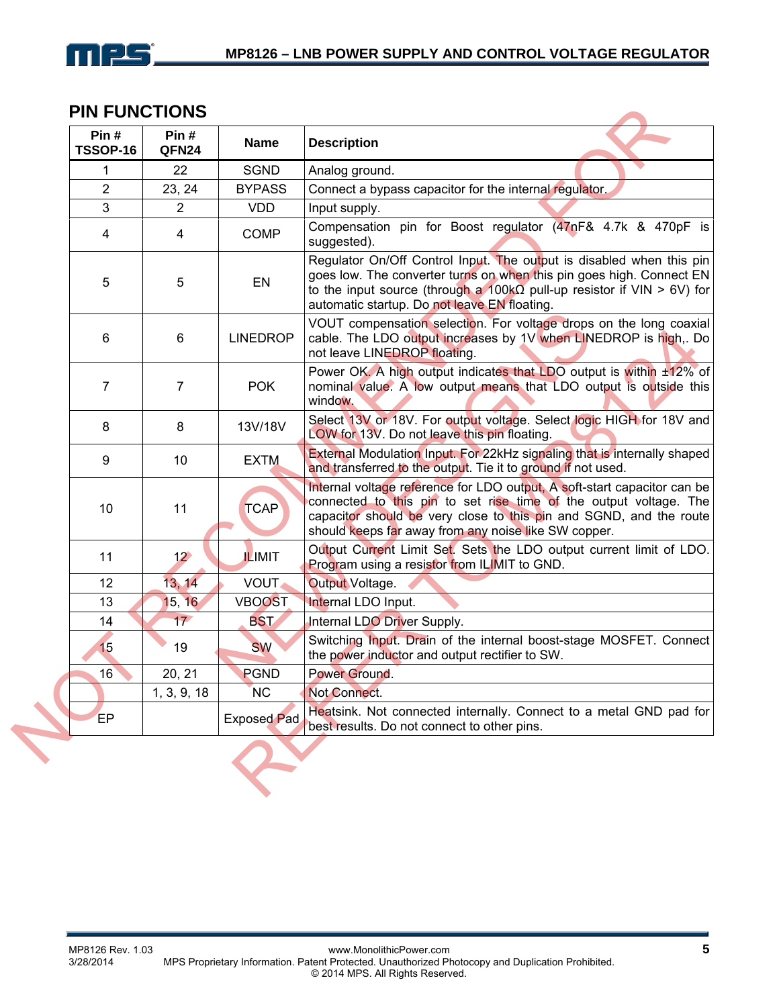

### **PIN FUNCTIONS**

| <b>SGND</b><br><b>BYPASS</b><br><b>VDD</b><br><b>COMP</b><br>EN<br><b>LINEDROP</b> | Analog ground.<br>Connect a bypass capacitor for the internal regulator.<br>Input supply.<br>suggested).<br>automatic startup. Do not leave EN floating.                                                                                                                                      |
|------------------------------------------------------------------------------------|-----------------------------------------------------------------------------------------------------------------------------------------------------------------------------------------------------------------------------------------------------------------------------------------------|
|                                                                                    | Compensation pin for Boost regulator (47nF& 4.7k & 470pF is<br>Regulator On/Off Control Input. The output is disabled when this pin<br>goes low. The converter turns on when this pin goes high. Connect EN<br>to the input source (through a 100k $\Omega$ pull-up resistor if VIN > 6V) for |
|                                                                                    |                                                                                                                                                                                                                                                                                               |
|                                                                                    |                                                                                                                                                                                                                                                                                               |
|                                                                                    |                                                                                                                                                                                                                                                                                               |
|                                                                                    |                                                                                                                                                                                                                                                                                               |
|                                                                                    | VOUT compensation selection. For voltage drops on the long coaxial<br>cable. The LDO output increases by 1V when LINEDROP is high,. Do<br>not leave LINEDROP floating.                                                                                                                        |
| <b>POK</b>                                                                         | Power OK. A high output indicates that LDO output is within ±12% of<br>nominal value. A low output means that LDO output is outside this<br>window.                                                                                                                                           |
| 13V/18V                                                                            | Select 13V or 18V. For output voltage. Select logic HIGH for 18V and<br>LOW for 13V. Do not leave this pin floating.                                                                                                                                                                          |
| <b>EXTM</b>                                                                        | External Modulation Input. For 22kHz signaling that is internally shaped<br>and transferred to the output. Tie it to ground if not used.                                                                                                                                                      |
| <b>TCAP</b>                                                                        | Internal voltage reference for LDO output, A soft-start capacitor can be<br>connected to this pin to set rise time of the output voltage. The<br>capacitor should be very close to this pin and SGND, and the route<br>should keeps far away from any noise like SW copper.                   |
| <b>ILIMIT</b>                                                                      | Output Current Limit Set. Sets the LDO output current limit of LDO.<br>Program using a resistor from ILIMIT to GND.                                                                                                                                                                           |
| <b>VOUT.</b>                                                                       | <b>Output Voltage.</b>                                                                                                                                                                                                                                                                        |
| <b>VBOOST</b>                                                                      | Internal LDO Input.                                                                                                                                                                                                                                                                           |
| <b>BST</b>                                                                         | Internal LDO Driver Supply.                                                                                                                                                                                                                                                                   |
| <b>SW</b>                                                                          | Switching Input. Drain of the internal boost-stage MOSFET. Connect<br>the power inductor and output rectifier to SW.                                                                                                                                                                          |
| <b>PGND</b>                                                                        | Power Ground.                                                                                                                                                                                                                                                                                 |
| <b>NC</b>                                                                          | Not Connect.                                                                                                                                                                                                                                                                                  |
| <b>Exposed Pad</b>                                                                 | Heatsink. Not connected internally. Connect to a metal GND pad for<br>best results. Do not connect to other pins.                                                                                                                                                                             |
|                                                                                    | 1, 3, 9, 18                                                                                                                                                                                                                                                                                   |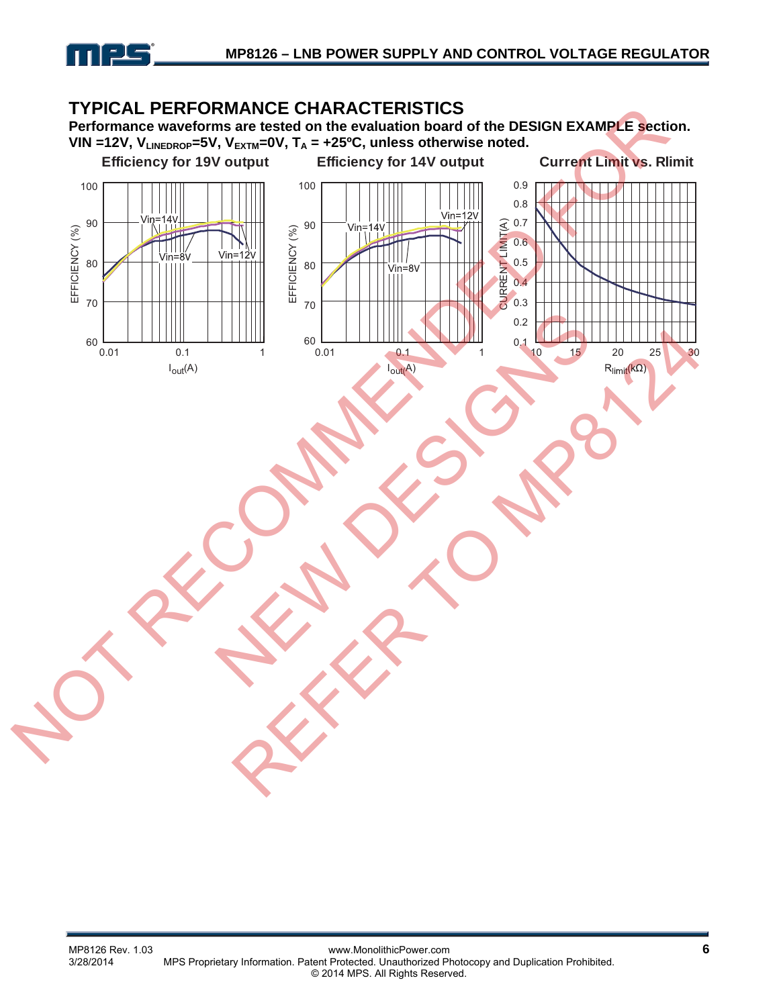

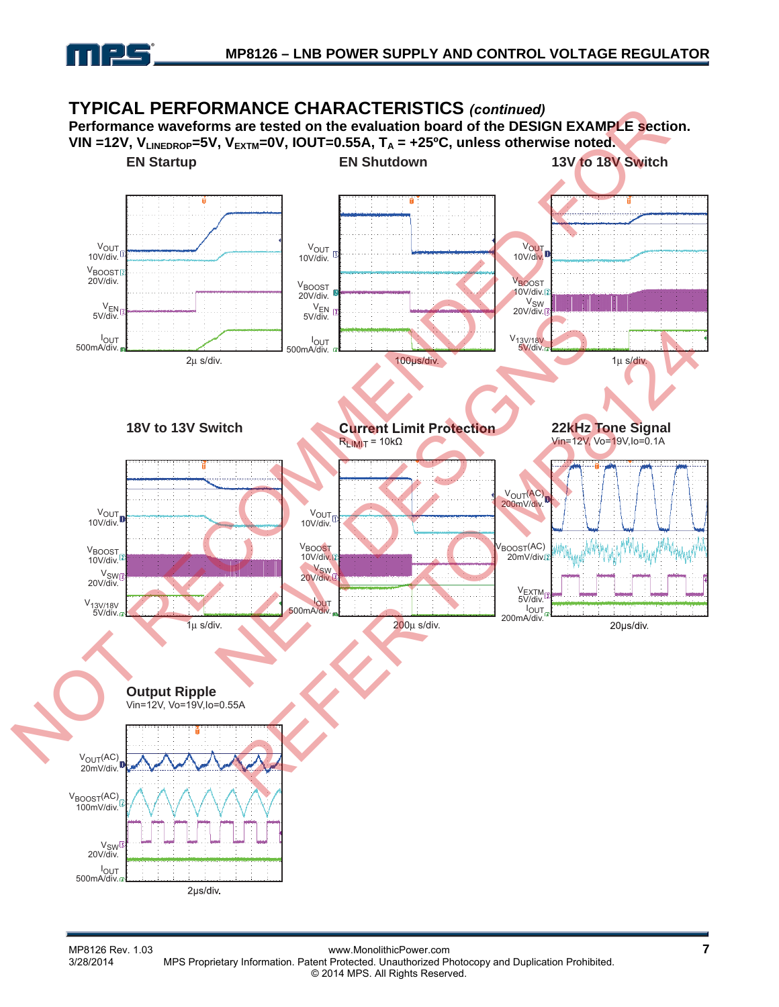

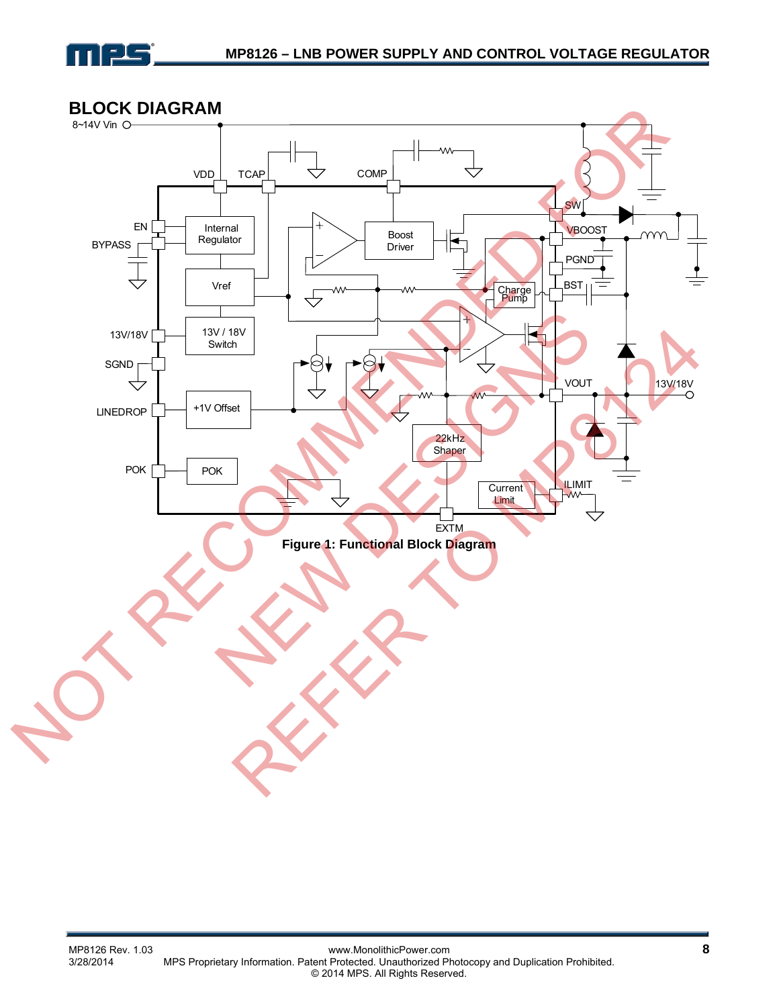

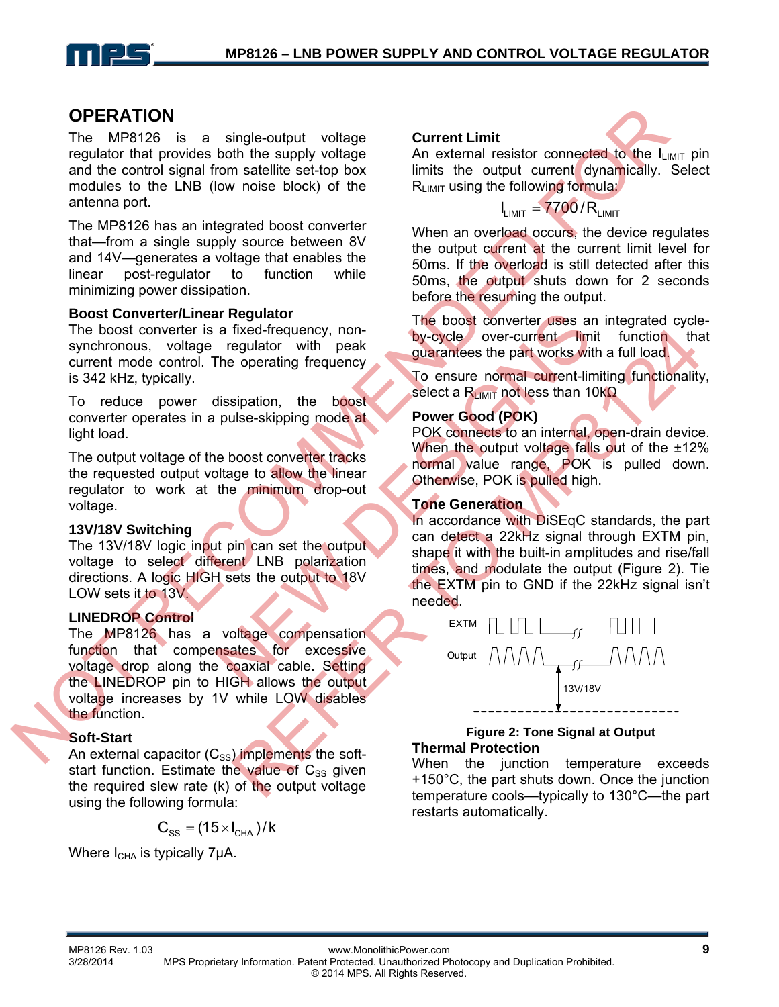

### **OPERATION**

The MP8126 is a single-output voltage regulator that provides both the supply voltage and the control signal from satellite set-top box modules to the LNB (low noise block) of the antenna port.

The MP8126 has an integrated boost converter that—from a single supply source between 8V and 14V—generates a voltage that enables the linear post-regulator to function while minimizing power dissipation.

#### **Boost Converter/Linear Regulator**

The boost converter is a fixed-frequency, nonsynchronous, voltage regulator with peak current mode control. The operating frequency is 342 kHz, typically.

To reduce power dissipation, the boost converter operates in a pulse-skipping mode at light load.

The output voltage of the boost converter tracks the requested output voltage to allow the linear regulator to work at the minimum drop-out voltage.

#### **13V/18V Switching**

The 13V/18V logic input pin can set the output voltage to select different LNB polarization directions. A logic HIGH sets the output to 18V LOW sets it to 13V.

#### **LINEDROP Control**

The MP8126 has a voltage compensation function that compensates for excessive voltage drop along the coaxial cable. Setting the LINEDROP pin to HIGH allows the output voltage increases by 1V while LOW disables the function. **OPERATION**<br>
The MPS126 is a single-output voltage Current Limit the sixter on measure of the control of the control of the control of the control of the control of the control of the control of the control of the control

#### **Soft-Start**

An external capacitor  $(C_{SS})$  implements the softstart function. Estimate the value of  $C_{SS}$  given the required slew rate (k) of the output voltage using the following formula:

$$
C_{\rm SS} = (15 \times I_{\rm CHA})/k
$$

Where  $I_{CHA}$  is typically 7µA.

#### **Current Limit**



An external resistor connected to the  $I_{LIMIT}$  pin limits the output current dynamically. Select  $R<sub>LIMIT</sub>$  using the following formula:

# $L_{LIMIT}$  = 7700 / R<sub>LIMIT</sub>

When an overload occurs, the device regulates the output current at the current limit level for 50ms. If the overload is still detected after this 50ms, the output shuts down for 2 seconds before the resuming the output.

The boost converter uses an integrated cycleby-cycle over-current limit function that guarantees the part works with a full load.

To ensure normal current-limiting functionality, select a R<sub>LIMIT</sub> not less than 10kΩ

#### **Power Good (POK)**

POK connects to an internal, open-drain device. When the output voltage falls out of the ±12% normal value range, POK is pulled down. Otherwise, POK is pulled high.

#### **Tone Generation**

In accordance with DiSEqC standards, the part can detect a 22kHz signal through EXTM pin, shape it with the built-in amplitudes and rise/fall times, and modulate the output (Figure 2). Tie the EXTM pin to GND if the 22kHz signal isn't needed. The boost converter uses and the operation<br>
The boost converter uses and the operating frequency on the part works with<br>
the operating frequency<br>
In the boost of the boost<br>
Select a Rumm not less than 11<br>
when the output v



#### **Figure 2: Tone Signal at Output Thermal Protection**

When the junction temperature exceeds +150°C, the part shuts down. Once the junction temperature cools—typically to 130°C—the part restarts automatically.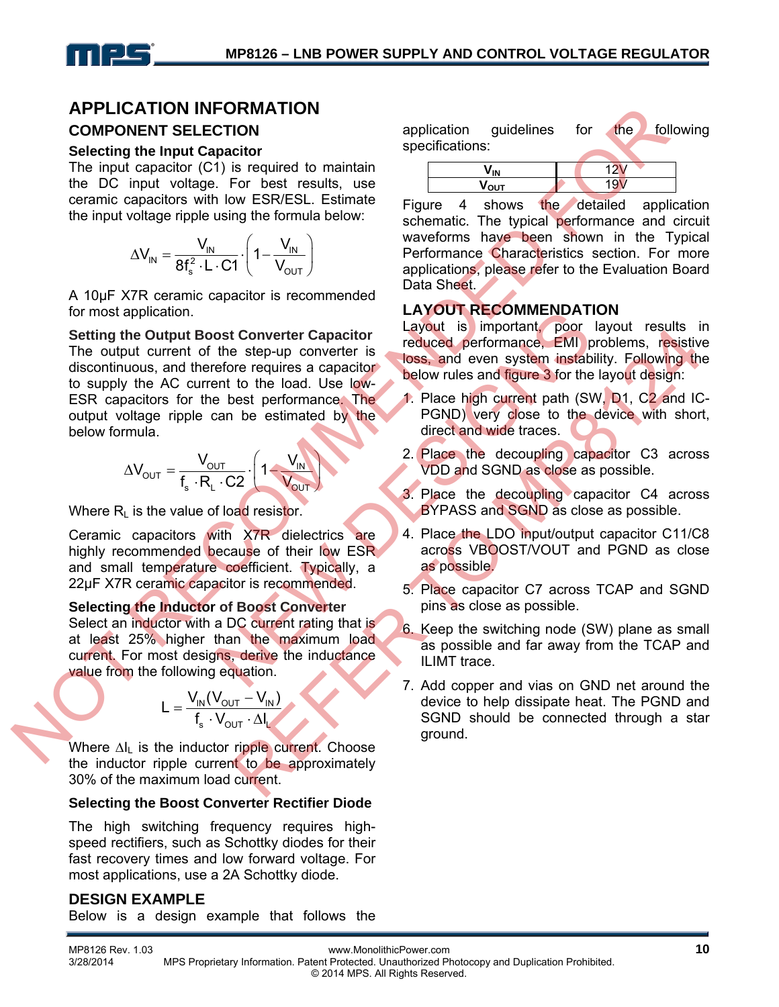# **APPLICATION INFORMATION COMPONENT SELECTION**

#### **Selecting the Input Capacitor**

The input capacitor (C1) is required to maintain the DC input voltage. For best results, use ceramic capacitors with low ESR/ESL. Estimate the input voltage ripple using the formula below:

$$
\Delta V_{IN} = \frac{V_{IN}}{8f_s^2 \cdot L \cdot C1} \cdot \left(1 - \frac{V_{IN}}{V_{OUT}}\right)
$$

A 10μF X7R ceramic capacitor is recommended for most application.

**Setting the Output Boost Converter Capacitor**  The output current of the step-up converter is discontinuous, and therefore requires a capacitor to supply the AC current to the load. Use low-ESR capacitors for the best performance. The output voltage ripple can be estimated by the below formula. **APPILCED INFORMATION**<br>
Selecting the Input chapter both is required to maintain<br>
The input victoric process results, use<br>
The input victoric (C) is required to maintain<br>
The input victoric form the USW and the selection Calibratic Communication<br>
NEW TROUT RECOMMENDATE<br>
The step-up converter is reduced performance. EMI<br>
The step-up converter is reduced performance. EMI<br>
The best performance The<br>
2. Place high current path (SV<br>
2. Place hig

$$
\Delta V_{\text{OUT}} = \frac{V_{\text{OUT}}}{f_s \cdot R_L \cdot C2} \cdot \left(1 - \frac{V_{\text{IN}}}{V_{\text{OUT}}}\right)
$$

Where  $R_1$  is the value of load resistor.

Ceramic capacitors with X7R dielectrics are highly recommended because of their low ESR and small temperature coefficient. Typically, a 22μF X7R ceramic capacitor is recommended.

### **Selecting the Inductor of Boost Converter**

Select an inductor with a DC current rating that is at least 25% higher than the maximum load current. For most designs, derive the inductance value from the following equation.

$$
L = \frac{V_{IN}(V_{OUT} - V_{IN})}{f_s \cdot V_{OUT} \cdot \Delta I_L}
$$

Where  $\Delta I_L$  is the inductor ripple current. Choose the inductor ripple current to be approximately 30% of the maximum load current.

### **Selecting the Boost Converter Rectifier Diode**

The high switching frequency requires highspeed rectifiers, such as Schottky diodes for their fast recovery times and low forward voltage. For most applications, use a 2A Schottky diode.

### **DESIGN EXAMPLE**

Below is a design example that follows the

application guidelines for the following specifications:

Figure 4 shows the detailed application schematic. The typical performance and circuit waveforms have been shown in the Typical Performance Characteristics section. For more applications, please refer to the Evaluation Board Data Sheet.

### **LAYOUT RECOMMENDATION**

Layout is important, poor layout results in reduced performance, EMI problems, resistive loss, and even system instability. Following the below rules and figure 3 for the layout design:

- 1. Place high current path (SW, D1, C2 and IC-PGND) very close to the device with short, direct and wide traces.
- 2. Place the decoupling capacitor C3 across VDD and SGND as close as possible.
- 3. Place the decoupling capacitor C4 across BYPASS and SGND as close as possible.
- 4. Place the LDO input/output capacitor C11/C8 across VBOOST/VOUT and PGND as close as possible.
- 5. Place capacitor C7 across TCAP and SGND pins as close as possible.
- 6. Keep the switching node (SW) plane as small as possible and far away from the TCAP and ILIMT trace.
- 7. Add copper and vias on GND net around the device to help dissipate heat. The PGND and SGND should be connected through a star **Example the maximum bad and the maximum bad in the maximum bad in the maximum bad all server is the coupling that is a possible.**<br> **Example the control of the state of the state of the state of the state of the state of**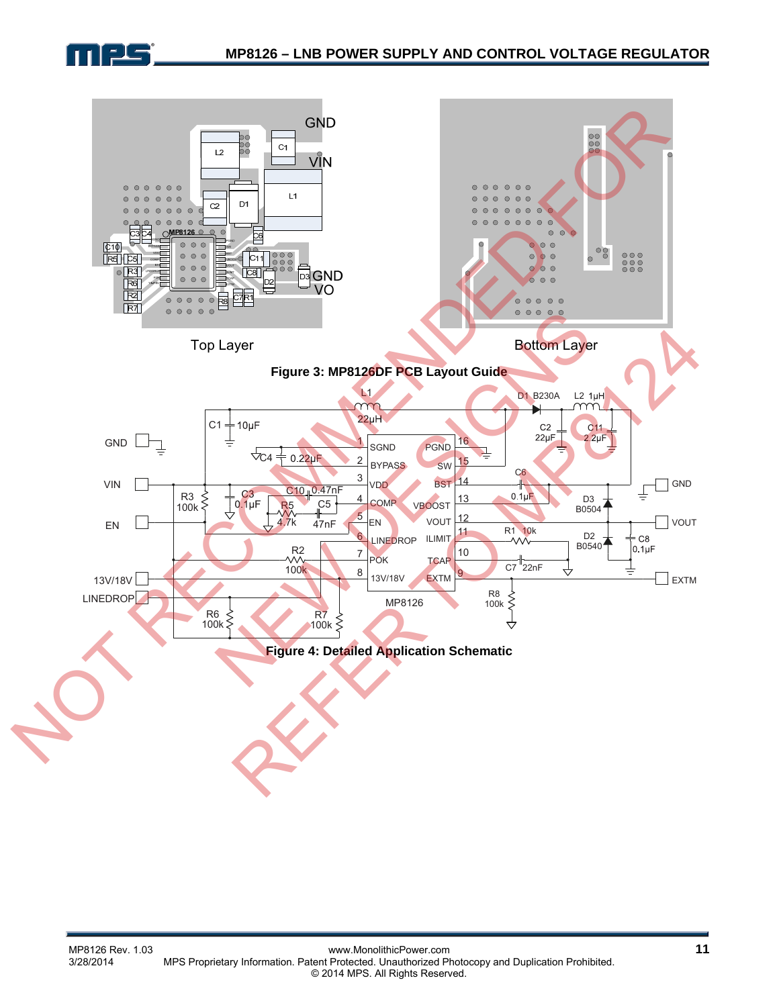

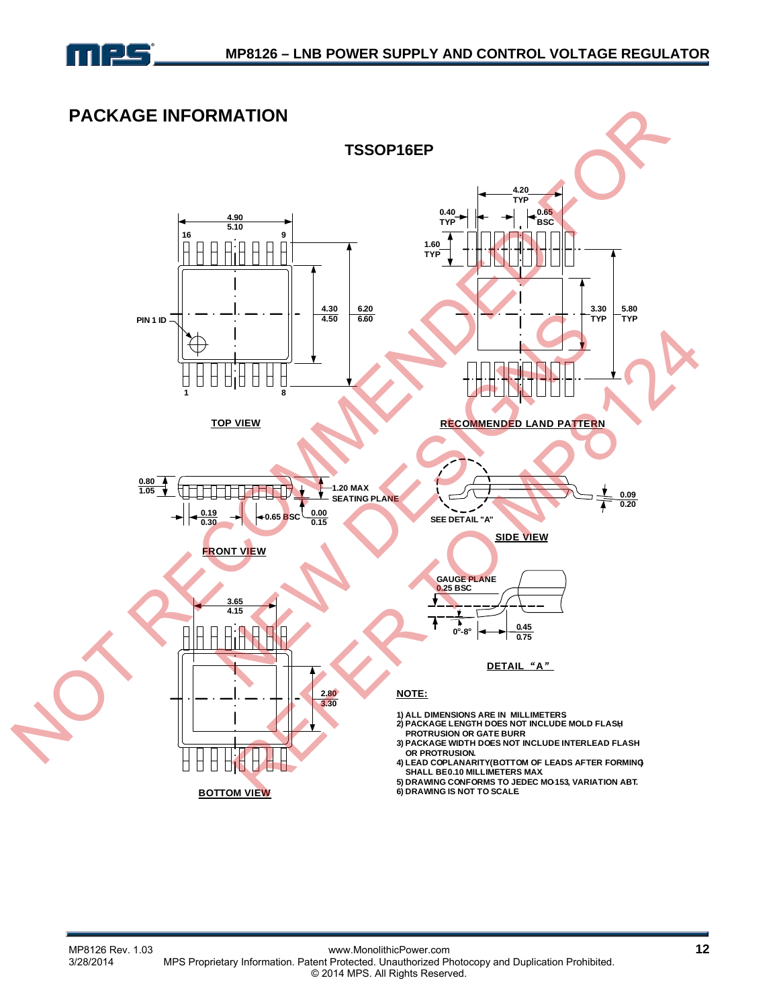

### **PACKAGE INFORMATION**